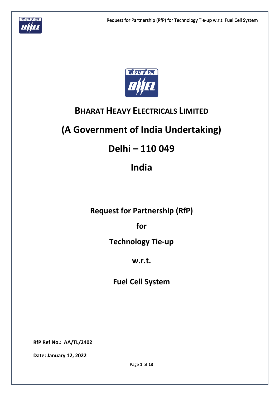



## **BHARAT HEAVY ELECTRICALS LIMITED**

# **(A Government of India Undertaking)**

## **Delhi – 110 049**

## **India**

**Request for Partnership (RfP)**

**for**

**Technology Tie-up** 

## **w.r.t.**

**Fuel Cell System**

**RfP Ref No.: AA/TL/2402**

**Date: January 12, 2022**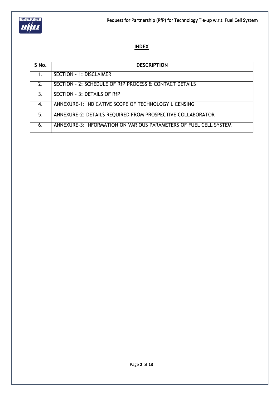

## **INDEX**

| S No. | <b>DESCRIPTION</b>                                                |
|-------|-------------------------------------------------------------------|
| 1.    | <b>SECTION - 1: DISCLAIMER</b>                                    |
| 2.    | SECTION - 2: SCHEDULE OF RfP PROCESS & CONTACT DETAILS            |
| 3.    | SECTION - 3: DETAILS OF RfP                                       |
| 4.    | ANNEXURE-1: INDICATIVE SCOPE OF TECHNOLOGY LICENSING              |
| 5.    | ANNEXURE-2: DETAILS REQUIRED FROM PROSPECTIVE COLLABORATOR        |
| 6.    | ANNEXURE-3: INFORMATION ON VARIOUS PARAMETERS OF FUEL CELL SYSTEM |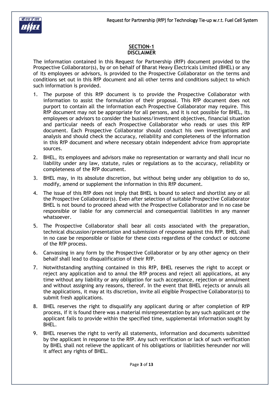

#### **SECTION-1 DISCLAIMER**

The information contained in this Request for Partnership (RfP) document provided to the Prospective Collaborator(s), by or on behalf of Bharat Heavy Electricals Limited (BHEL) or any of its employees or advisors, is provided to the Prospective Collaborator on the terms and conditions set out in this RfP document and all other terms and conditions subject to which such information is provided.

- 1. The purpose of this RfP document is to provide the Prospective Collaborator with information to assist the formulation of their proposal. This RfP document does not purport to contain all the information each Prospective Collaborator may require. This RfP document may not be appropriate for all persons, and it is not possible for BHEL, its employees or advisors to consider the business/investment objectives, financial situation and particular needs of each Prospective Collaborator who reads or uses this RfP document. Each Prospective Collaborator should conduct his own investigations and analysis and should check the accuracy, reliability and completeness of the information in this RfP document and where necessary obtain independent advice from appropriate sources.
- 2. BHEL, its employees and advisors make no representation or warranty and shall incur no liability under any law, statute, rules or regulations as to the accuracy, reliability or completeness of the RfP document.
- 3. BHEL may, in its absolute discretion, but without being under any obligation to do so, modify, amend or supplement the information in this RfP document.
- 4. The issue of this RfP does not imply that BHEL is bound to select and shortlist any or all the Prospective Collaborator(s). Even after selection of suitable Prospective Collaborator BHEL is not bound to proceed ahead with the Prospective Collaborator and in no case be responsible or liable for any commercial and consequential liabilities in any manner whatsoever.
- 5. The Prospective Collaborator shall bear all costs associated with the preparation, technical discussion/presentation and submission of response against this RfP. BHEL shall in no case be responsible or liable for these costs regardless of the conduct or outcome of the RfP process.
- 6. Canvassing in any form by the Prospective Collaborator or by any other agency on their behalf shall lead to disqualification of their RfP.
- 7. Notwithstanding anything contained in this RfP, BHEL reserves the right to accept or reject any application and to annul the RfP process and reject all applications, at any time without any liability or any obligation for such acceptance, rejection or annulment and without assigning any reasons, thereof. In the event that BHEL rejects or annuls all the applications, it may at its discretion, invite all eligible Prospective Collaborator(s) to submit fresh applications.
- 8. BHEL reserves the right to disqualify any applicant during or after completion of RfP process, if it is found there was a material misrepresentation by any such applicant or the applicant fails to provide within the specified time, supplemental information sought by BHEL.
- 9. BHEL reserves the right to verify all statements, information and documents submitted by the applicant in response to the RfP. Any such verification or lack of such verification by BHEL shall not relieve the applicant of his obligations or liabilities hereunder nor will it affect any rights of BHEL.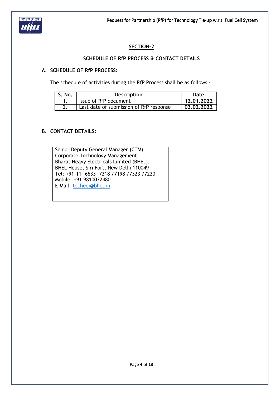

## **SECTION-2**

#### **SCHEDULE OF RfP PROCESS & CONTACT DETAILS**

#### **A. SCHEDULE OF RfP PROCESS:**

The schedule of activities during the RfP Process shall be as follows -

| S. No. | <b>Description</b>                      | Date       |
|--------|-----------------------------------------|------------|
|        | Issue of RfP document                   | 12.01.2022 |
|        | Last date of submission of RfP response | 03.02.2022 |

### **B. CONTACT DETAILS:**

Senior Deputy General Manager (CTM) Corporate Technology Management, Bharat Heavy Electricals Limited (BHEL), BHEL House, Siri Fort, New Delhi 110049 Tel: +91-11- 6633- 7218 /7198 /7323 /7220 Mobile: +91 9810072480 E-Mail: [techeoi@bhel.in](mailto:techeoi@bhel.in)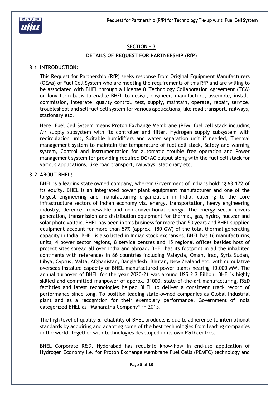

### **SECTION – 3**

#### **DETAILS OF REQUEST FOR PARTNERSHIP (RfP)**

#### **3.1 INTRODUCTION:**

This Request for Partnership (RfP) seeks response from Original Equipment Manufacturers (OEMs) of Fuel Cell System who are meeting the requirements of this RfP and are willing to be associated with BHEL through a License & Technology Collaboration Agreement (TCA) on long term basis to enable BHEL to design, engineer, manufacture, assemble, install, commission, integrate, quality control, test, supply, maintain, operate, repair, service, troubleshoot and sell fuel cell system for various applications, like road transport, railways, stationary etc.

Here, Fuel Cell System means Proton Exchange Membrane (PEM) fuel cell stack including Air supply subsystem with its controller and filter, Hydrogen supply subsystem with recirculation unit, Suitable humidifiers and water separation unit if needed, Thermal management system to maintain the temperature of fuel cell stack, Safety and warning system, Control and instrumentation for automatic trouble free operation and Power management system for providing required DC/AC output along with the fuel cell stack for various applications, like road transport, railways, stationary etc.

#### **3.2 ABOUT BHEL:**

BHEL is a leading state owned company, wherein Government of India is holding 63.17% of its equity. BHEL is an integrated power plant equipment manufacturer and one of the largest engineering and manufacturing organization in India, catering to the core infrastructure sectors of Indian economy viz. energy, transportation, heavy engineering industry, defence, renewable and non-conventional energy. The energy sector covers generation, transmission and distribution equipment for thermal, gas, hydro, nuclear and solar photo voltaic. BHEL has been in this business for more than 50 years and BHEL supplied equipment account for more than 57% (approx. 180 GW) of the total thermal generating capacity in India. BHEL is also listed in Indian stock exchanges. BHEL has 16 manufacturing units, 4 power sector regions, 8 service centres and 15 regional offices besides host of project sites spread all over India and abroad. BHEL has its footprint in all the inhabited continents with references in 86 countries including Malaysia, Oman, Iraq, Syria Sudan, Libya, Cyprus, Malta, Afghanistan, Bangladesh, Bhutan, New Zealand etc. with cumulative overseas installed capacity of BHEL manufactured power plants nearing 10,000 MW. The annual turnover of BHEL for the year 2020-21 was around US\$ 2.3 Billion. BHEL's highly skilled and committed manpower of approx. 31000; state-of-the-art manufacturing, R&D facilities and latest technologies helped BHEL to deliver a consistent track record of performance since long. To position leading state-owned companies as Global Industrial giant and as a recognition for their exemplary performance, Government of India categorized BHEL as "Maharatna Company" in 2013.

The high level of quality & reliability of BHEL products is due to adherence to international standards by acquiring and adapting some of the best technologies from leading companies in the world, together with technologies developed in its own R&D centres.

BHEL Corporate R&D, Hyderabad has requisite know-how in end-use application of Hydrogen Economy i.e. for Proton Exchange Membrane Fuel Cells (PEMFC) technology and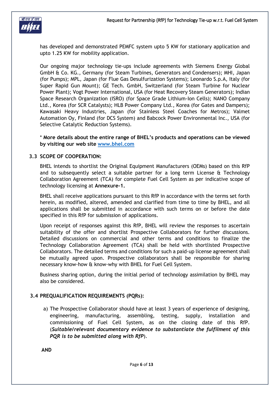

has developed and demonstrated PEMFC system upto 5 KW for stationary application and upto 1.25 KW for mobility application.

Our ongoing major technology tie-ups include agreements with Siemens Energy Global GmbH & Co. KG., Germany (for Steam Turbines, Generators and Condensers); MHI, Japan (for Pumps); MPL, Japan (for Flue Gas Desulfurization Systems); Leonardo S.p.A, Italy (for Super Rapid Gun Mount); GE Tech. GmbH, Switzerland (for Steam Turbine for Nuclear Power Plant); Vogt Power International, USA (for Heat Recovery Steam Generators); Indian Space Research Organization (ISRO) (for Space Grade Lithium-Ion Cells); NANO Company Ltd., Korea (for SCR Catalysts); HLB Power Company Ltd., Korea (for Gates and Dampers); Kawasaki Heavy Industries, Japan (for Stainless Steel Coaches for Metros); Valmet Automation Oy, Finland (for DCS System) and Babcock Power Environmental Inc., USA (for Selective Catalytic Reduction Systems).

\* **More details about the entire range of BHEL's products and operations can be viewed by visiting our web site [www.bhel.com](http://www.bhel.com/)**

#### **3.3 SCOPE OF COOPERATION:**

BHEL intends to shortlist the Original Equipment Manufacturers (OEMs) based on this RfP and to subsequently select a suitable partner for a long term License & Technology Collaboration Agreement (TCA) for complete Fuel Cell System as per indicative scope of technology licensing at **Annexure-1.**

BHEL shall receive applications pursuant to this RfP in accordance with the terms set forth herein, as modified, altered, amended and clarified from time to time by BHEL, and all applications shall be submitted in accordance with such terms on or before the date specified in this RfP for submission of applications.

Upon receipt of responses against this RfP, BHEL will review the responses to ascertain suitability of the offer and shortlist Prospective Collaborators for further discussions. Detailed discussions on commercial and other terms and conditions to finalize the Technology Collaboration Agreement (TCA) shall be held with shortlisted Prospective Collaborators. The detailed terms and conditions for such a paid-up license agreement shall be mutually agreed upon. Prospective collaborators shall be responsible for sharing necessary know-how & know-why with BHEL for Fuel Cell System.

Business sharing option, during the initial period of technology assimilation by BHEL may also be considered.

#### **3.4 PREQUALIFICATION REQUIREMENTS (PQRs):**

a) The Prospective Collaborator should have at least 3 years of experience of designing, engineering, manufacturing, assembling, testing, supply, installation and commissioning of Fuel Cell System, as on the closing date of this RfP. (*Suitable/relevant documentary evidence to substantiate the fulfilment of this PQR is to be submitted along with RfP*).

**AND**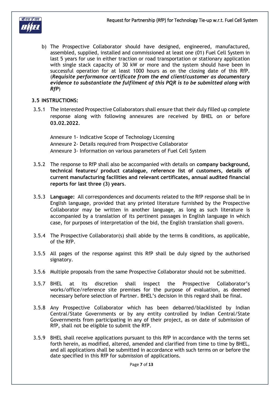

b) The Prospective Collaborator should have designed, engineered, manufactured, assembled, supplied, installed and commissioned at least one (01) Fuel Cell System in last 5 years for use in either traction or road transportation or stationary application with single stack capacity of 30 kW or more and the system should have been in successful operation for at least 1000 hours as on the closing date of this RfP. (*Requisite performance certificate from the end client/customer as documentary evidence to substantiate the fulfilment of this PQR is to be submitted along with RfP*)

#### **3.5 INSTRUCTIONS:**

3.5.1 The interested Prospective Collaborators shall ensure that their duly filled up complete response along with following annexures are received by BHEL on or before **03.02.2022**.

Annexure 1- Indicative Scope of Technology Licensing Annexure 2- Details required from Prospective Collaborator Annexure 3- Information on various parameters of Fuel Cell System

- 3.5.2 The response to RfP shall also be accompanied with details on **company background, technical features/ product catalogue, reference list of customers, details of current manufacturing facilities and relevant certificates, annual audited financial reports for last three (3) years**.
- 3.5.3 **Language:** All correspondences and documents related to the RfP response shall be in English language, provided that any printed literature furnished by the Prospective Collaborator may be written in another language, as long as such literature is accompanied by a translation of its pertinent passages in English language in which case, for purposes of interpretation of the bid, the English translation shall govern.
- 3.5.4 The Prospective Collaborator(s) shall abide by the terms & conditions, as applicable, of the RfP.
- 3.5.5 All pages of the response against this RfP shall be duly signed by the authorised signatory.
- 3.5.6 Multiple proposals from the same Prospective Collaborator should not be submitted.
- 3.5.7 BHEL at its discretion shall inspect the Prospective Collaborator's works/office/reference site premises for the purpose of evaluation, as deemed necessary before selection of Partner. BHEL's decision in this regard shall be final.
- 3.5.8 Any Prospective Collaborator which has been debarred/blacklisted by Indian Central/State Governments or by any entity controlled by Indian Central/State Governments from participating in any of their project, as on date of submission of RfP, shall not be eligible to submit the RfP.
- 3.5.9 BHEL shall receive applications pursuant to this RfP in accordance with the terms set forth herein, as modified, altered, amended and clarified from time to time by BHEL, and all applications shall be submitted in accordance with such terms on or before the date specified in this RfP for submission of applications.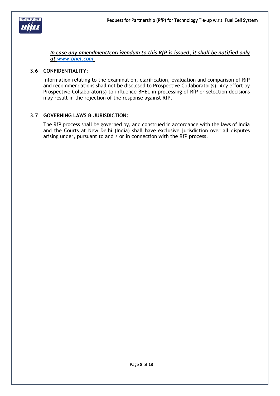

*In case any amendment/corrigendum to this RfP is issued, it shall be notified only at [www.bhel.com](http://www.bhel.com/)*

#### **3.6 CONFIDENTIALITY:**

Information relating to the examination, clarification, evaluation and comparison of RfP and recommendations shall not be disclosed to Prospective Collaborator(s). Any effort by Prospective Collaborator(s) to influence BHEL in processing of RfP or selection decisions may result in the rejection of the response against RfP.

#### **3.7 GOVERNING LAWS & JURISDICTION:**

The RfP process shall be governed by, and construed in accordance with the laws of India and the Courts at New Delhi (India) shall have exclusive jurisdiction over all disputes arising under, pursuant to and / or in connection with the RfP process.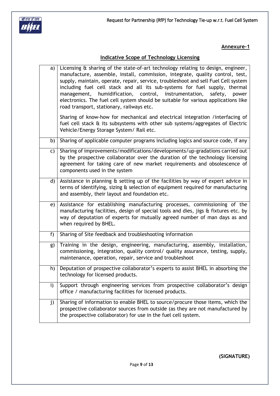



### **Annexure-1**

## **Indicative Scope of Technology Licensing**

| a)           | Licensing & sharing of the state-of-art technology relating to design, engineer,<br>manufacture, assemble, install, commission, integrate, quality control, test,<br>supply, maintain, operate, repair, service, troubleshoot and sell Fuel Cell system<br>including fuel cell stack and all its sub-systems for fuel supply, thermal<br>humidification, control, instrumentation,<br>safety,<br>management,<br>power<br>electronics. The fuel cell system should be suitable for various applications like<br>road transport, stationary, railways etc. |
|--------------|----------------------------------------------------------------------------------------------------------------------------------------------------------------------------------------------------------------------------------------------------------------------------------------------------------------------------------------------------------------------------------------------------------------------------------------------------------------------------------------------------------------------------------------------------------|
|              | Sharing of know-how for mechanical and electrical integration /interfacing of<br>fuel cell stack & its subsystems with other sub systems/aggregates of Electric<br>Vehicle/Energy Storage System/ Rail etc.                                                                                                                                                                                                                                                                                                                                              |
| b)           | Sharing of applicable computer programs including logics and source code, if any                                                                                                                                                                                                                                                                                                                                                                                                                                                                         |
| c)           | Sharing of improvements/modifications/developments/up-gradations carried out<br>by the prospective collaborator over the duration of the technology licensing<br>agreement for taking care of new market requirements and obsolescence of<br>components used in the system                                                                                                                                                                                                                                                                               |
| d)           | Assistance in planning & setting up of the facilities by way of expert advice in<br>terms of identifying, sizing & selection of equipment required for manufacturing<br>and assembly, their layout and foundation etc.                                                                                                                                                                                                                                                                                                                                   |
| e)           | Assistance for establishing manufacturing processes, commissioning of the<br>manufacturing facilities, design of special tools and dies, jigs & fixtures etc. by<br>way of deputation of experts for mutually agreed number of man days as and<br>when required by BHEL.                                                                                                                                                                                                                                                                                 |
| $f$ )        | Sharing of Site feedback and troubleshooting information                                                                                                                                                                                                                                                                                                                                                                                                                                                                                                 |
| g)           | Training in the design, engineering, manufacturing, assembly, installation,<br>commissioning, integration, quality control/ quality assurance, testing, supply,<br>maintenance, operation, repair, service and troubleshoot                                                                                                                                                                                                                                                                                                                              |
| h)           | Deputation of prospective collaborator's experts to assist BHEL in absorbing the<br>technology for licensed products.                                                                                                                                                                                                                                                                                                                                                                                                                                    |
| $\mathbf{i}$ | Support through engineering services from prospective collaborator's design<br>office / manufacturing facilities for licensed products.                                                                                                                                                                                                                                                                                                                                                                                                                  |
| j)           | Sharing of information to enable BHEL to source/procure those items, which the<br>prospective collaborator sources from outside (as they are not manufactured by<br>the prospective collaborator) for use in the fuel cell system.                                                                                                                                                                                                                                                                                                                       |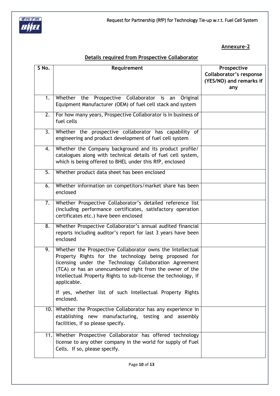

### **Annexure-2**

## **Details required from Prospective Collaborator**

| Whether the Prospective Collaborator is an Original<br>1.<br>Equipment Manufacturer (OEM) of fuel cell stack and system<br>For how many years, Prospective Collaborator is in business of<br>2.<br>fuel cells<br>Whether the prospective collaborator has capability of<br>3.<br>engineering and product development of fuel cell system<br>Whether the Company background and its product profile/<br>4.<br>catalogues along with technical details of fuel cell system,<br>which is being offered to BHEL under this RfP, enclosed<br>5.<br>Whether product data sheet has been enclosed<br>Whether information on competitors/market share has been<br>6.<br>enclosed<br>Whether Prospective Collaborator's detailed reference list<br>7.<br>(including performance certificates, satisfactory operation | Prospective<br><b>Collaborator's response</b><br>(YES/NO) and remarks if<br>any |
|-------------------------------------------------------------------------------------------------------------------------------------------------------------------------------------------------------------------------------------------------------------------------------------------------------------------------------------------------------------------------------------------------------------------------------------------------------------------------------------------------------------------------------------------------------------------------------------------------------------------------------------------------------------------------------------------------------------------------------------------------------------------------------------------------------------|---------------------------------------------------------------------------------|
|                                                                                                                                                                                                                                                                                                                                                                                                                                                                                                                                                                                                                                                                                                                                                                                                             |                                                                                 |
|                                                                                                                                                                                                                                                                                                                                                                                                                                                                                                                                                                                                                                                                                                                                                                                                             |                                                                                 |
|                                                                                                                                                                                                                                                                                                                                                                                                                                                                                                                                                                                                                                                                                                                                                                                                             |                                                                                 |
|                                                                                                                                                                                                                                                                                                                                                                                                                                                                                                                                                                                                                                                                                                                                                                                                             |                                                                                 |
|                                                                                                                                                                                                                                                                                                                                                                                                                                                                                                                                                                                                                                                                                                                                                                                                             |                                                                                 |
|                                                                                                                                                                                                                                                                                                                                                                                                                                                                                                                                                                                                                                                                                                                                                                                                             |                                                                                 |
| certificates etc.) have been enclosed                                                                                                                                                                                                                                                                                                                                                                                                                                                                                                                                                                                                                                                                                                                                                                       |                                                                                 |
| Whether Prospective Collaborator's annual audited financial<br>$\overline{\mathbf{8}}$ .<br>reports including auditor's report for last 3 years have been<br>enclosed                                                                                                                                                                                                                                                                                                                                                                                                                                                                                                                                                                                                                                       |                                                                                 |
| Whether the Prospective Collaborator owns the Intellectual<br>9.<br>Property Rights for the technology being proposed for<br>licensing under the Technology Collaboration Agreement<br>(TCA) or has an unencumbered right from the owner of the<br>Intellectual Property Rights to sub-license the technology, if<br>applicable.<br>If yes, whether list of such Intellectual Property Rights<br>enclosed.                                                                                                                                                                                                                                                                                                                                                                                                  |                                                                                 |
| 10. Whether the Prospective Collaborator has any experience in<br>establishing new manufacturing, testing and assembly<br>facilities, if so please specify.                                                                                                                                                                                                                                                                                                                                                                                                                                                                                                                                                                                                                                                 |                                                                                 |
| 11. Whether Prospective Collaborator has offered technology<br>license to any other company in the world for supply of Fuel<br>Cells. If so, please specify.                                                                                                                                                                                                                                                                                                                                                                                                                                                                                                                                                                                                                                                |                                                                                 |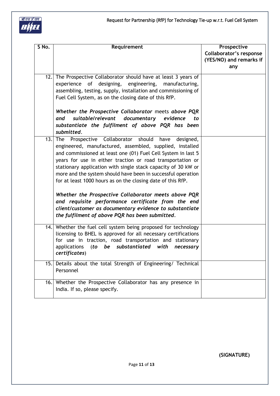

| S No. | Requirement                                                       | Prospective             |
|-------|-------------------------------------------------------------------|-------------------------|
|       |                                                                   | Collaborator's response |
|       |                                                                   | (YES/NO) and remarks if |
|       |                                                                   | any                     |
|       | 12. The Prospective Collaborator should have at least 3 years of  |                         |
|       | experience of designing, engineering,<br>manufacturing,           |                         |
|       | assembling, testing, supply, installation and commissioning of    |                         |
|       | Fuel Cell System, as on the closing date of this RfP.             |                         |
|       |                                                                   |                         |
|       | Whether the Prospective Collaborator meets above PQR              |                         |
|       | suitable/relevant<br>documentary<br>evidence<br>and<br>to         |                         |
|       | substantiate the fulfilment of above PQR has been                 |                         |
|       | submitted.                                                        |                         |
|       | $13.$ The<br>Prospective Collaborator should<br>have<br>designed, |                         |
|       | engineered, manufactured, assembled, supplied, installed          |                         |
|       | and commissioned at least one (01) Fuel Cell System in last 5     |                         |
|       | years for use in either traction or road transportation or        |                         |
|       | stationary application with single stack capacity of 30 kW or     |                         |
|       | more and the system should have been in successful operation      |                         |
|       | for at least 1000 hours as on the closing date of this RfP.       |                         |
|       |                                                                   |                         |
|       | Whether the Prospective Collaborator meets above PQR              |                         |
|       | and requisite performance certificate from the end                |                         |
|       | client/customer as documentary evidence to substantiate           |                         |
|       | the fulfilment of above PQR has been submitted.                   |                         |
|       |                                                                   |                         |
|       | 14. Whether the fuel cell system being proposed for technology    |                         |
|       | licensing to BHEL is approved for all necessary certifications    |                         |
|       | for use in traction, road transportation and stationary           |                         |
|       | be substantiated<br>applications<br>(to<br>with<br>necessary      |                         |
|       | certificates)                                                     |                         |
|       | 15. Details about the total Strength of Engineering/ Technical    |                         |
|       | Personnel                                                         |                         |
|       | 16. Whether the Prospective Collaborator has any presence in      |                         |
|       | India. If so, please specify.                                     |                         |
|       |                                                                   |                         |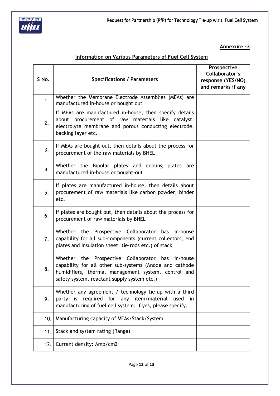

**Annexure -3**

## **Information on Various Parameters of Fuel Cell System**

| S No. | <b>Specifications / Parameters</b>                                                                                                                                                                                    | Prospective<br>Collaborator's<br>response (YES/NO)<br>and remarks if any |
|-------|-----------------------------------------------------------------------------------------------------------------------------------------------------------------------------------------------------------------------|--------------------------------------------------------------------------|
| 1.    | Whether the Membrane Electrode Assemblies (MEAs) are<br>manufactured in-house or bought out                                                                                                                           |                                                                          |
| 2.    | If MEAs are manufactured in-house, then specify details<br>about procurement of raw materials like catalyst,<br>electrolyte membrane and porous conducting electrode,<br>backing layer etc.                           |                                                                          |
| 3.    | If MEAs are bought out, then details about the process for<br>procurement of the raw materials by BHEL                                                                                                                |                                                                          |
| 4.    | Whether the Bipolar plates and cooling plates are<br>manufactured in-house or bought-out                                                                                                                              |                                                                          |
| 5.    | If plates are manufactured in-house, then details about<br>procurement of raw materials like carbon powder, binder<br>etc.                                                                                            |                                                                          |
| 6.    | If plates are bought out, then details about the process for<br>procurement of raw materials by BHEL                                                                                                                  |                                                                          |
| 7.    | Whether the Prospective Collaborator has in-house<br>capability for all sub-components (current collectors, end<br>plates and Insulation sheet, tie-rods etc.) of stack                                               |                                                                          |
| 8.    | Whether the Prospective Collaborator<br>has in-house<br>capability for all other sub-systems (Anode and cathode<br>humidifiers, thermal management system, control and<br>safety system, reactant supply system etc.) |                                                                          |
| 9.    | Whether any agreement / technology tie-up with a third<br>party is required for any item/material used in<br>manufacturing of fuel cell system. If yes, please specify.                                               |                                                                          |
| 10.   | Manufacturing capacity of MEAs/Stack/System                                                                                                                                                                           |                                                                          |
| 11.   | Stack and system rating (Range)                                                                                                                                                                                       |                                                                          |
| 12.   | Current density: Amp/cm2                                                                                                                                                                                              |                                                                          |